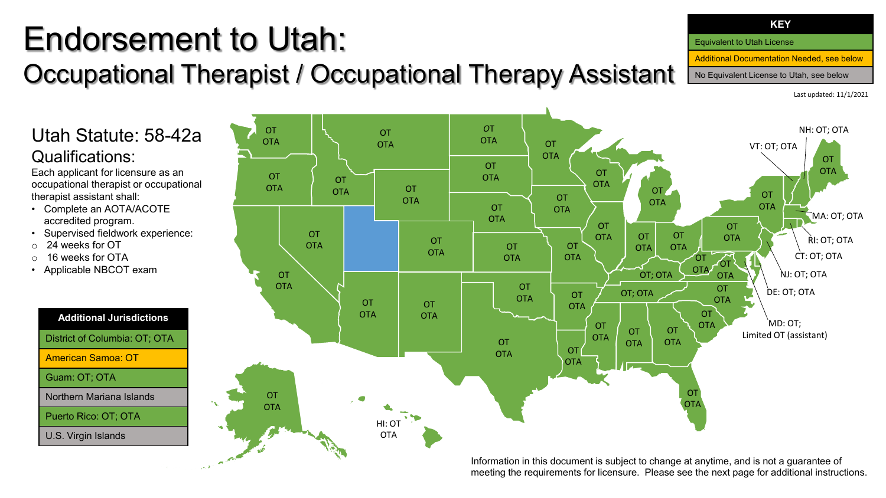# Endorsement to Utah: Occupational Therapist / Occupational Therapy Assistant

Last updated: 11/1/2021

### Utah Statute: 58-42a Qualifications:

Each applicant for licensure as an occupational therapist or occupational therapist assistant shall:

- Complete an AOTA/ACOTE accredited program.
- Supervised fieldwork experience:
- o 24 weeks for OT
- o 16 weeks for OTA
- Applicable NBCOT exam



U.S. Virgin Islands



meeting the requirements for licensure. Please see the next page for additional instructions.